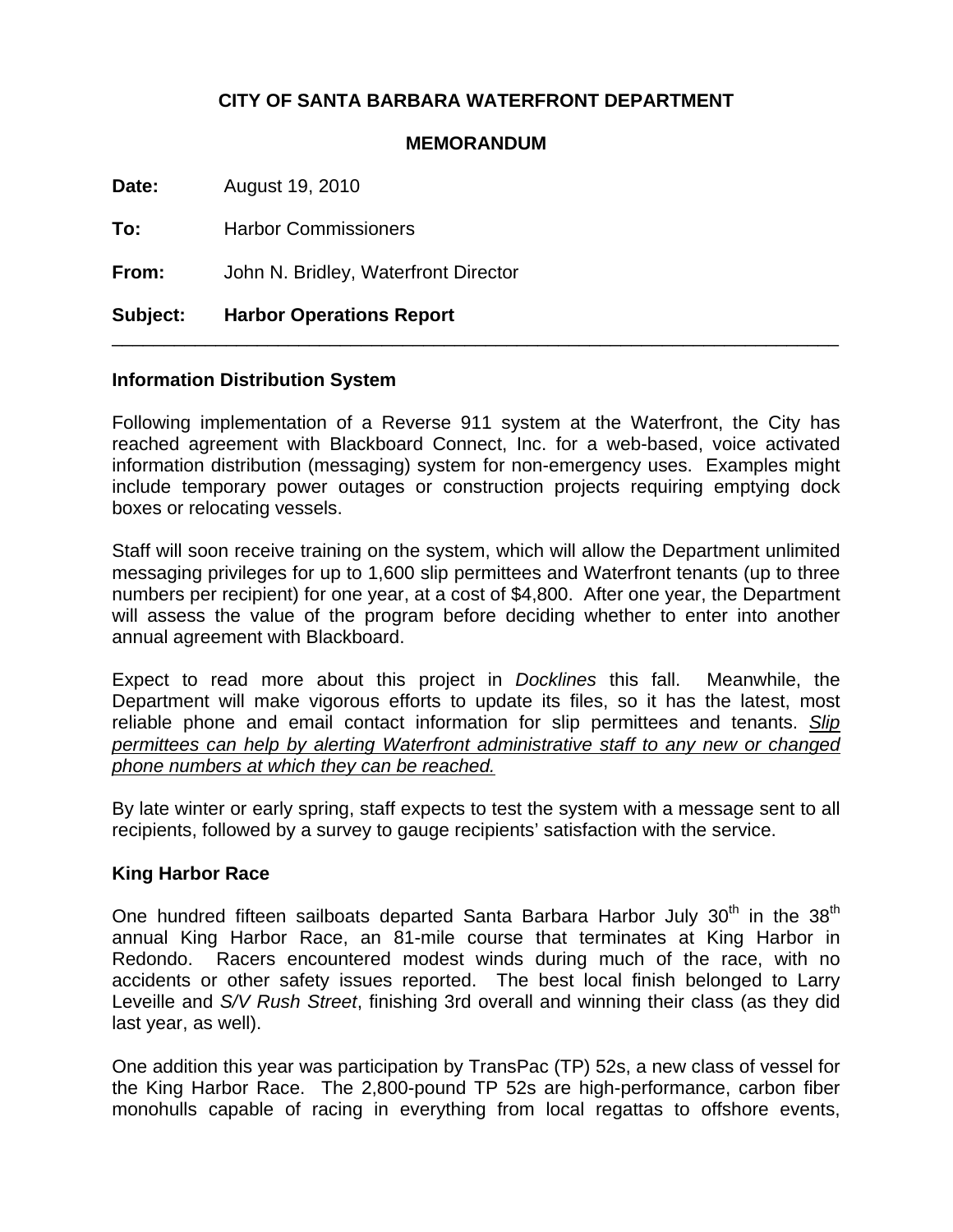# **CITY OF SANTA BARBARA WATERFRONT DEPARTMENT**

#### **MEMORANDUM**

**Date:** August 19, 2010

**To:** Harbor Commissioners

**From:** John N. Bridley, Waterfront Director

### **Subject: Harbor Operations Report**

#### **Information Distribution System**

Following implementation of a Reverse 911 system at the Waterfront, the City has reached agreement with Blackboard Connect, Inc. for a web-based, voice activated information distribution (messaging) system for non-emergency uses. Examples might include temporary power outages or construction projects requiring emptying dock boxes or relocating vessels.

\_\_\_\_\_\_\_\_\_\_\_\_\_\_\_\_\_\_\_\_\_\_\_\_\_\_\_\_\_\_\_\_\_\_\_\_\_\_\_\_\_\_\_\_\_\_\_\_\_\_\_\_\_\_\_\_\_\_\_\_\_\_\_\_\_\_\_\_\_\_

Staff will soon receive training on the system, which will allow the Department unlimited messaging privileges for up to 1,600 slip permittees and Waterfront tenants (up to three numbers per recipient) for one year, at a cost of \$4,800. After one year, the Department will assess the value of the program before deciding whether to enter into another annual agreement with Blackboard.

Expect to read more about this project in *Docklines* this fall. Meanwhile, the Department will make vigorous efforts to update its files, so it has the latest, most reliable phone and email contact information for slip permittees and tenants. *Slip permittees can help by alerting Waterfront administrative staff to any new or changed phone numbers at which they can be reached.*

By late winter or early spring, staff expects to test the system with a message sent to all recipients, followed by a survey to gauge recipients' satisfaction with the service.

### **King Harbor Race**

One hundred fifteen sailboats departed Santa Barbara Harbor July 30<sup>th</sup> in the 38<sup>th</sup> annual King Harbor Race, an 81-mile course that terminates at King Harbor in Redondo. Racers encountered modest winds during much of the race, with no accidents or other safety issues reported. The best local finish belonged to Larry Leveille and *S/V Rush Street*, finishing 3rd overall and winning their class (as they did last year, as well).

One addition this year was participation by TransPac (TP) 52s, a new class of vessel for the King Harbor Race. The 2,800-pound TP 52s are high-performance, carbon fiber monohulls capable of racing in everything from local regattas to offshore events,